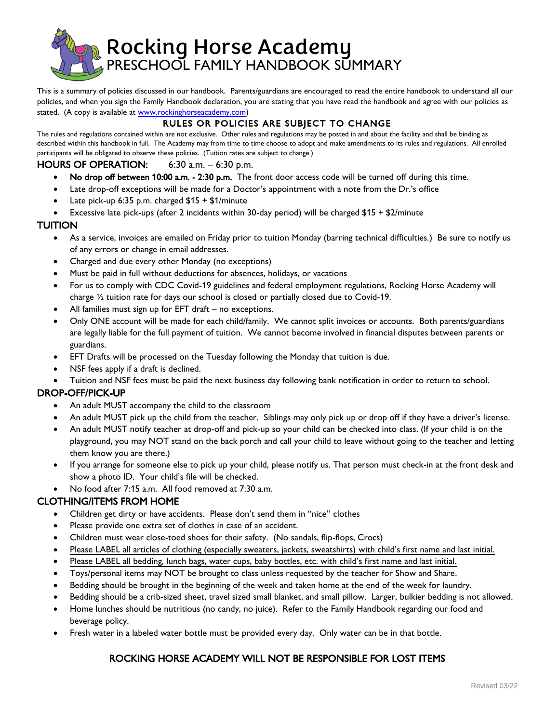

This is a summary of policies discussed in our handbook. Parents/guardians are encouraged to read the entire handbook to understand all our policies, and when you sign the Family Handbook declaration, you are stating that you have read the handbook and agree with our policies as stated. (A copy is available at [www.rockinghorseacademy.com\)](http://www.rockinghorseacademy.com/)

# RULES OR POLICIES ARE SUBJECT TO CHANGE

The rules and regulations contained within are not exclusive. Other rules and regulations may be posted in and about the facility and shall be binding as described within this handbook in full. The Academy may from time to time choose to adopt and make amendments to its rules and regulations. All enrolled participants will be obligated to observe these policies. (Tuition rates are subject to change.)

### HOURS OF OPERATION: 6:30 a.m. – 6:30 p.m.

- No drop off between 10:00 a.m. 2:30 p.m. The front door access code will be turned off during this time.
- Late drop-off exceptions will be made for a Doctor's appointment with a note from the Dr.'s office
- Late pick-up 6:35 p.m. charged \$15 + \$1/minute
- Excessive late pick-ups (after 2 incidents within 30-day period) will be charged \$15 + \$2/minute

#### TUITION

- As a service, invoices are emailed on Friday prior to tuition Monday (barring technical difficulties.) Be sure to notify us of any errors or change in email addresses.
- Charged and due every other Monday (no exceptions)
- Must be paid in full without deductions for absences, holidays, or vacations
- For us to comply with CDC Covid-19 guidelines and federal employment regulations, Rocking Horse Academy will charge ½ tuition rate for days our school is closed or partially closed due to Covid-19.
- All families must sign up for  $EFT$  draft no exceptions.
- Only ONE account will be made for each child/family. We cannot split invoices or accounts. Both parents/guardians are legally liable for the full payment of tuition. We cannot become involved in financial disputes between parents or guardians.
- EFT Drafts will be processed on the Tuesday following the Monday that tuition is due.
- NSF fees apply if a draft is declined.
- Tuition and NSF fees must be paid the next business day following bank notification in order to return to school.

### DROP-OFF/PICK-UP

- An adult MUST accompany the child to the classroom
- An adult MUST pick up the child from the teacher. Siblings may only pick up or drop off if they have a driver's license.
- An adult MUST notify teacher at drop-off and pick-up so your child can be checked into class. (If your child is on the playground, you may NOT stand on the back porch and call your child to leave without going to the teacher and letting them know you are there.)
- If you arrange for someone else to pick up your child, please notify us. That person must check-in at the front desk and show a photo ID. Your child's file will be checked.
- No food after 7:15 a.m. All food removed at 7:30 a.m.

### CLOTHING/ITEMS FROM HOME

- Children get dirty or have accidents. Please don't send them in "nice" clothes
- Please provide one extra set of clothes in case of an accident.
- Children must wear close-toed shoes for their safety. (No sandals, flip-flops, Crocs)
- Please LABEL all articles of clothing (especially sweaters, jackets, sweatshirts) with child's first name and last initial.
- Please LABEL all bedding, lunch bags, water cups, baby bottles, etc. with child's first name and last initial.
- Toys/personal items may NOT be brought to class unless requested by the teacher for Show and Share.
- Bedding should be brought in the beginning of the week and taken home at the end of the week for laundry.
- Bedding should be a crib-sized sheet, travel sized small blanket, and small pillow. Larger, bulkier bedding is not allowed.
- Home lunches should be nutritious (no candy, no juice). Refer to the Family Handbook regarding our food and beverage policy.
- Fresh water in a labeled water bottle must be provided every day. Only water can be in that bottle.

# ROCKING HORSE ACADEMY WILL NOT BE RESPONSIBLE FOR LOST ITEMS